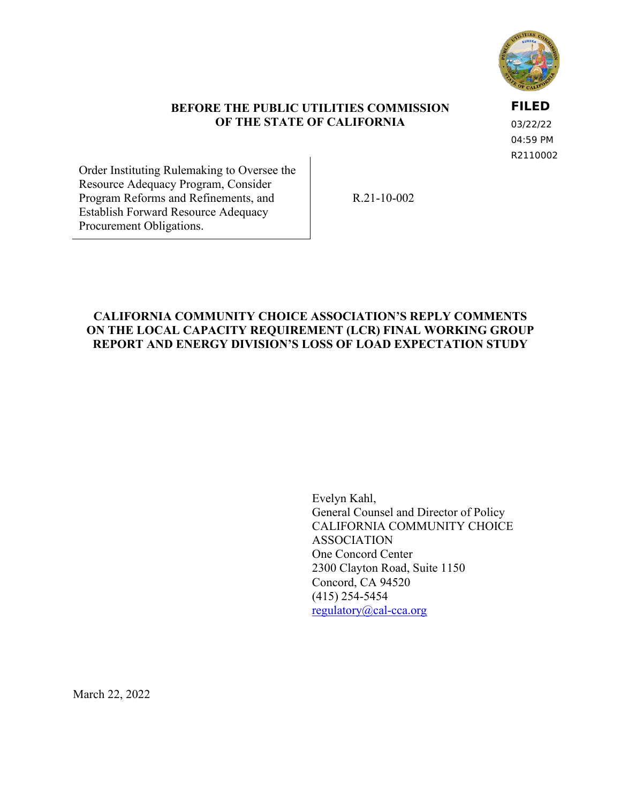

# **BEFORE THE PUBLIC UTILITIES COMMISSION OF THE STATE OF CALIFORNIA**

**FILED**

03/22/22 04:59 PM R2110002

Order Instituting Rulemaking to Oversee the Resource Adequacy Program, Consider Program Reforms and Refinements, and Establish Forward Resource Adequacy Procurement Obligations.

R.21-10-002

# **CALIFORNIA COMMUNITY CHOICE ASSOCIATION'S REPLY COMMENTS ON THE LOCAL CAPACITY REQUIREMENT (LCR) FINAL WORKING GROUP REPORT AND ENERGY DIVISION'S LOSS OF LOAD EXPECTATION STUDY**

Evelyn Kahl, General Counsel and Director of Policy CALIFORNIA COMMUNITY CHOICE ASSOCIATION One Concord Center 2300 Clayton Road, Suite 1150 Concord, CA 94520 (415) 254-5454 [regulatory@cal-cca.org](mailto:regulatory@cal-cca.org)

March 22, 2022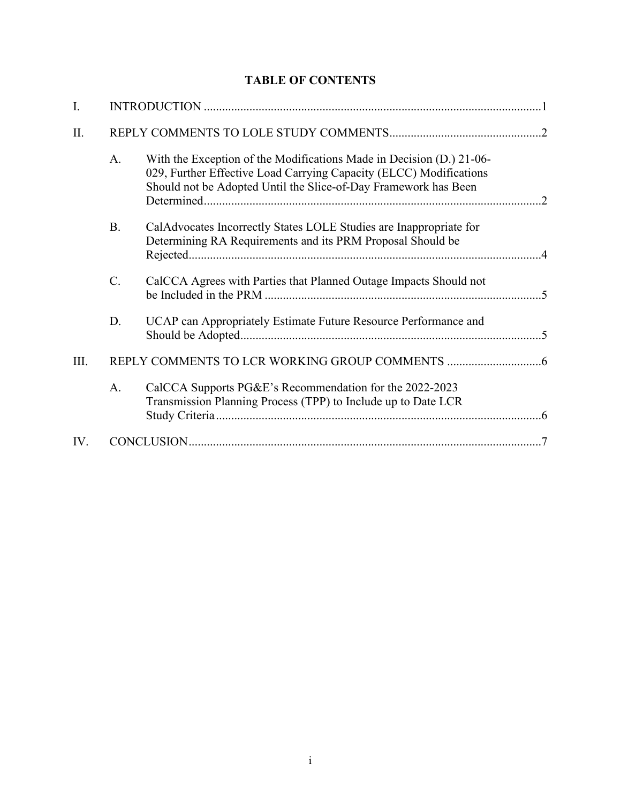# **TABLE OF CONTENTS**

| I.   |           |                                                                                                                                                                                                               |  |
|------|-----------|---------------------------------------------------------------------------------------------------------------------------------------------------------------------------------------------------------------|--|
| II.  |           |                                                                                                                                                                                                               |  |
|      | A.        | With the Exception of the Modifications Made in Decision (D.) 21-06-<br>029, Further Effective Load Carrying Capacity (ELCC) Modifications<br>Should not be Adopted Until the Slice-of-Day Framework has Been |  |
|      | <b>B.</b> | CalAdvocates Incorrectly States LOLE Studies are Inappropriate for<br>Determining RA Requirements and its PRM Proposal Should be                                                                              |  |
|      | C.        | CalCCA Agrees with Parties that Planned Outage Impacts Should not                                                                                                                                             |  |
|      | D.        | UCAP can Appropriately Estimate Future Resource Performance and                                                                                                                                               |  |
| III. |           |                                                                                                                                                                                                               |  |
|      | A.        | CalCCA Supports PG&E's Recommendation for the 2022-2023<br>Transmission Planning Process (TPP) to Include up to Date LCR                                                                                      |  |
| IV.  |           |                                                                                                                                                                                                               |  |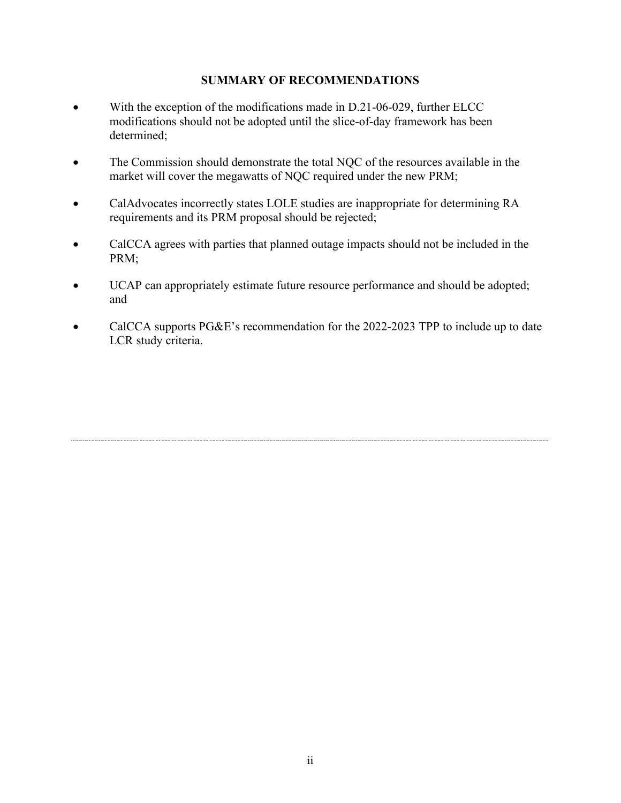# **SUMMARY OF RECOMMENDATIONS**

- With the exception of the modifications made in D.21-06-029, further ELCC modifications should not be adopted until the slice-of-day framework has been determined;
- The Commission should demonstrate the total NQC of the resources available in the market will cover the megawatts of NQC required under the new PRM;
- CalAdvocates incorrectly states LOLE studies are inappropriate for determining RA requirements and its PRM proposal should be rejected;
- CalCCA agrees with parties that planned outage impacts should not be included in the PRM;
- UCAP can appropriately estimate future resource performance and should be adopted; and
- CalCCA supports PG&E's recommendation for the 2022-2023 TPP to include up to date LCR study criteria.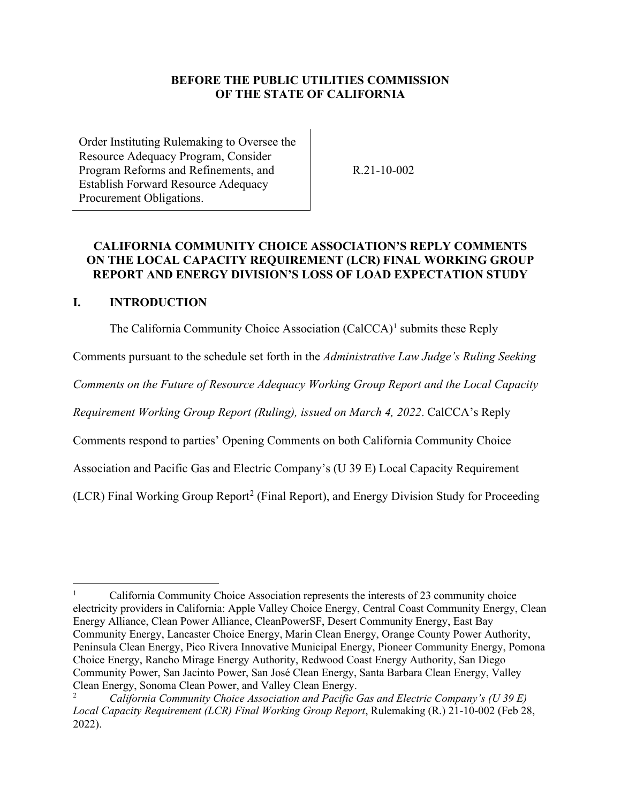# **BEFORE THE PUBLIC UTILITIES COMMISSION OF THE STATE OF CALIFORNIA**

Order Instituting Rulemaking to Oversee the Resource Adequacy Program, Consider Program Reforms and Refinements, and Establish Forward Resource Adequacy Procurement Obligations.

R.21-10-002

# **CALIFORNIA COMMUNITY CHOICE ASSOCIATION'S REPLY COMMENTS ON THE LOCAL CAPACITY REQUIREMENT (LCR) FINAL WORKING GROUP REPORT AND ENERGY DIVISION'S LOSS OF LOAD EXPECTATION STUDY**

#### <span id="page-3-0"></span>**I. INTRODUCTION**

The California Community Choice Association (CalCCA)<sup>[1](#page-3-1)</sup> submits these Reply

Comments pursuant to the schedule set forth in the *Administrative Law Judge's Ruling Seeking* 

*Comments on the Future of Resource Adequacy Working Group Report and the Local Capacity* 

*Requirement Working Group Report (Ruling), issued on March 4, 2022*. CalCCA's Reply

Comments respond to parties' Opening Comments on both California Community Choice

Association and Pacific Gas and Electric Company's (U 39 E) Local Capacity Requirement

(LCR) Final Working Group Report<sup>[2](#page-4-2)</sup> (Final Report), and Energy Division Study for Proceeding

<span id="page-3-1"></span><sup>1</sup> California Community Choice Association represents the interests of 23 community choice electricity providers in California: Apple Valley Choice Energy, Central Coast Community Energy, Clean Energy Alliance, Clean Power Alliance, CleanPowerSF, Desert Community Energy, East Bay Community Energy, Lancaster Choice Energy, Marin Clean Energy, Orange County Power Authority, Peninsula Clean Energy, Pico Rivera Innovative Municipal Energy, Pioneer Community Energy, Pomona Choice Energy, Rancho Mirage Energy Authority, Redwood Coast Energy Authority, San Diego Community Power, San Jacinto Power, San José Clean Energy, Santa Barbara Clean Energy, Valley Clean Energy, Sonoma Clean Power, and Valley Clean Energy.

<sup>2</sup> *California Community Choice Association and Pacific Gas and Electric Company's (U 39 E) Local Capacity Requirement (LCR) Final Working Group Report*, Rulemaking (R.) 21-10-002 (Feb 28, 2022).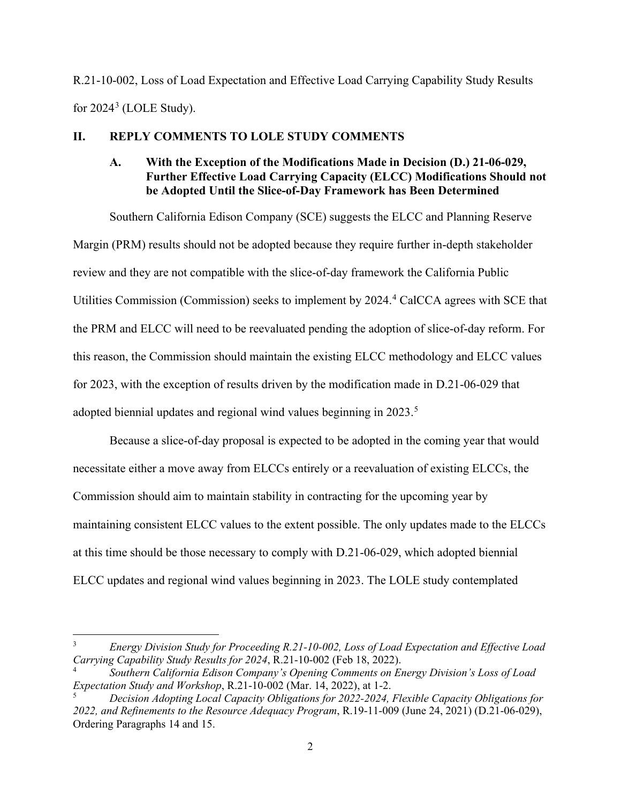R.21-10-002, Loss of Load Expectation and Effective Load Carrying Capability Study Results for  $2024^3$  $2024^3$  (LOLE Study).

# <span id="page-4-1"></span><span id="page-4-0"></span>**II. REPLY COMMENTS TO LOLE STUDY COMMENTS**

# **A. With the Exception of the Modifications Made in Decision (D.) 21-06-029, Further Effective Load Carrying Capacity (ELCC) Modifications Should not be Adopted Until the Slice-of-Day Framework has Been Determined**

Southern California Edison Company (SCE) suggests the ELCC and Planning Reserve Margin (PRM) results should not be adopted because they require further in-depth stakeholder review and they are not compatible with the slice-of-day framework the California Public Utilities Commission (Commission) seeks to implement by 202[4](#page-4-4).<sup>4</sup> CalCCA agrees with SCE that the PRM and ELCC will need to be reevaluated pending the adoption of slice-of-day reform. For this reason, the Commission should maintain the existing ELCC methodology and ELCC values for 2023, with the exception of results driven by the modification made in D.21-06-029 that adopted biennial updates and regional wind values beginning in 2023.<sup>[5](#page-4-5)</sup>

Because a slice-of-day proposal is expected to be adopted in the coming year that would necessitate either a move away from ELCCs entirely or a reevaluation of existing ELCCs, the Commission should aim to maintain stability in contracting for the upcoming year by maintaining consistent ELCC values to the extent possible. The only updates made to the ELCCs at this time should be those necessary to comply with D.21-06-029, which adopted biennial ELCC updates and regional wind values beginning in 2023. The LOLE study contemplated

<span id="page-4-3"></span><span id="page-4-2"></span><sup>3</sup> *Energy Division Study for Proceeding R.21-10-002, Loss of Load Expectation and Effective Load Carrying Capability Study Results for 2024*, R.21-10-002 (Feb 18, 2022).

<span id="page-4-4"></span><sup>4</sup> *Southern California Edison Company's Opening Comments on Energy Division's Loss of Load Expectation Study and Workshop*, R.21-10-002 (Mar. 14, 2022), at 1-2.

<span id="page-4-5"></span><sup>5</sup> *Decision Adopting Local Capacity Obligations for 2022-2024, Flexible Capacity Obligations for 2022, and Refinements to the Resource Adequacy Program*, R.19-11-009 (June 24, 2021) (D.21-06-029), Ordering Paragraphs 14 and 15.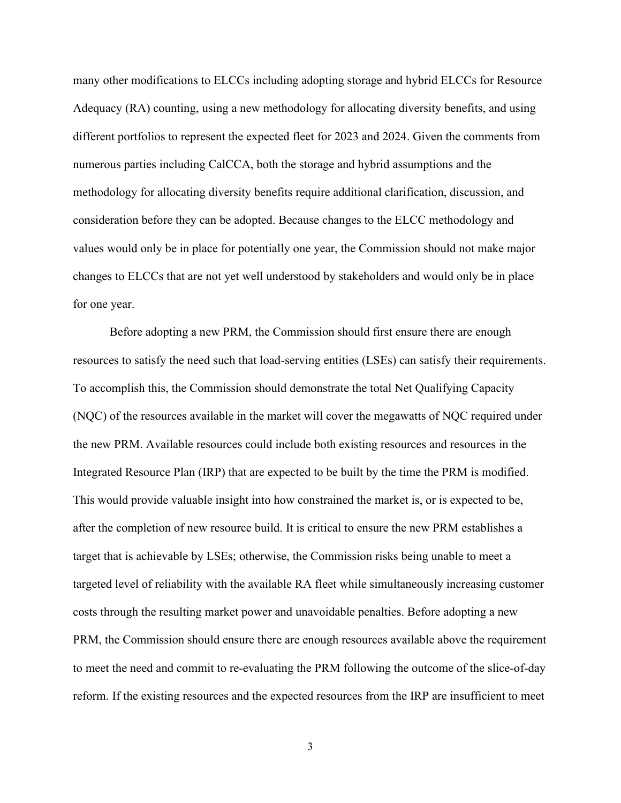many other modifications to ELCCs including adopting storage and hybrid ELCCs for Resource Adequacy (RA) counting, using a new methodology for allocating diversity benefits, and using different portfolios to represent the expected fleet for 2023 and 2024. Given the comments from numerous parties including CalCCA, both the storage and hybrid assumptions and the methodology for allocating diversity benefits require additional clarification, discussion, and consideration before they can be adopted. Because changes to the ELCC methodology and values would only be in place for potentially one year, the Commission should not make major changes to ELCCs that are not yet well understood by stakeholders and would only be in place for one year.

Before adopting a new PRM, the Commission should first ensure there are enough resources to satisfy the need such that load-serving entities (LSEs) can satisfy their requirements. To accomplish this, the Commission should demonstrate the total Net Qualifying Capacity (NQC) of the resources available in the market will cover the megawatts of NQC required under the new PRM. Available resources could include both existing resources and resources in the Integrated Resource Plan (IRP) that are expected to be built by the time the PRM is modified. This would provide valuable insight into how constrained the market is, or is expected to be, after the completion of new resource build. It is critical to ensure the new PRM establishes a target that is achievable by LSEs; otherwise, the Commission risks being unable to meet a targeted level of reliability with the available RA fleet while simultaneously increasing customer costs through the resulting market power and unavoidable penalties. Before adopting a new PRM, the Commission should ensure there are enough resources available above the requirement to meet the need and commit to re-evaluating the PRM following the outcome of the slice-of-day reform. If the existing resources and the expected resources from the IRP are insufficient to meet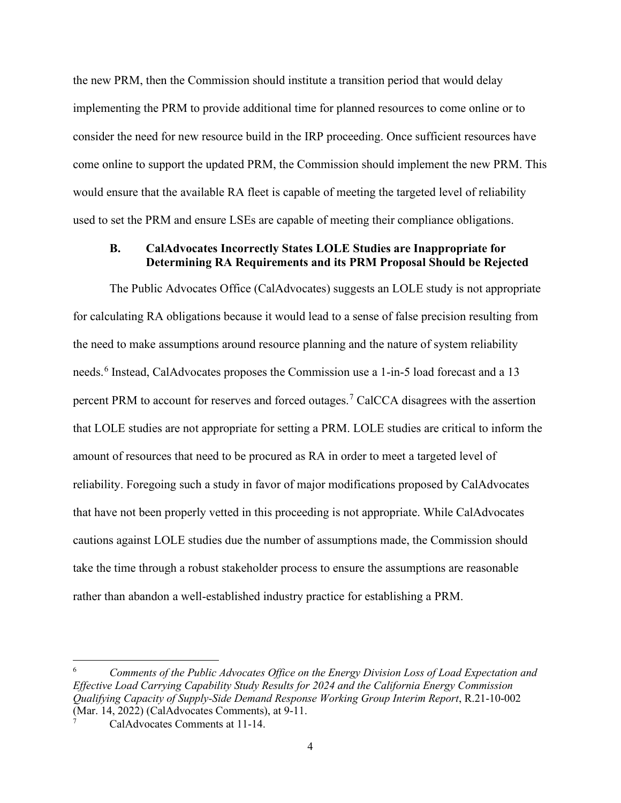the new PRM, then the Commission should institute a transition period that would delay implementing the PRM to provide additional time for planned resources to come online or to consider the need for new resource build in the IRP proceeding. Once sufficient resources have come online to support the updated PRM, the Commission should implement the new PRM. This would ensure that the available RA fleet is capable of meeting the targeted level of reliability used to set the PRM and ensure LSEs are capable of meeting their compliance obligations.

### <span id="page-6-0"></span>**B. CalAdvocates Incorrectly States LOLE Studies are Inappropriate for Determining RA Requirements and its PRM Proposal Should be Rejected**

The Public Advocates Office (CalAdvocates) suggests an LOLE study is not appropriate for calculating RA obligations because it would lead to a sense of false precision resulting from the need to make assumptions around resource planning and the nature of system reliability needs.<sup>[6](#page-6-1)</sup> Instead, CalAdvocates proposes the Commission use a 1-in-5 load forecast and a 13 percent PRM to account for reserves and forced outages.<sup>[7](#page-6-2)</sup> CalCCA disagrees with the assertion that LOLE studies are not appropriate for setting a PRM. LOLE studies are critical to inform the amount of resources that need to be procured as RA in order to meet a targeted level of reliability. Foregoing such a study in favor of major modifications proposed by CalAdvocates that have not been properly vetted in this proceeding is not appropriate. While CalAdvocates cautions against LOLE studies due the number of assumptions made, the Commission should take the time through a robust stakeholder process to ensure the assumptions are reasonable rather than abandon a well-established industry practice for establishing a PRM.

<span id="page-6-1"></span><sup>6</sup> *Comments of the Public Advocates Office on the Energy Division Loss of Load Expectation and Effective Load Carrying Capability Study Results for 2024 and the California Energy Commission Qualifying Capacity of Supply-Side Demand Response Working Group Interim Report*, R.21-10-002 (Mar. 14, 2022) (CalAdvocates Comments), at 9-11.

<span id="page-6-2"></span><sup>7</sup> CalAdvocates Comments at 11-14.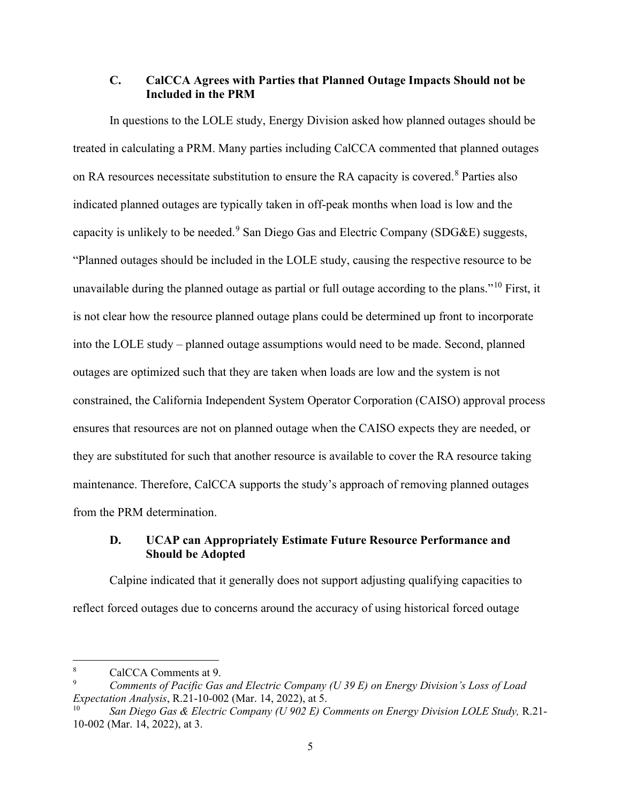# <span id="page-7-0"></span>**C. CalCCA Agrees with Parties that Planned Outage Impacts Should not be Included in the PRM**

In questions to the LOLE study, Energy Division asked how planned outages should be treated in calculating a PRM. Many parties including CalCCA commented that planned outages on RA resources necessitate substitution to ensure the RA capacity is covered.<sup>[8](#page-7-2)</sup> Parties also indicated planned outages are typically taken in off-peak months when load is low and the capacity is unlikely to be needed.<sup>[9](#page-7-3)</sup> San Diego Gas and Electric Company (SDG&E) suggests, "Planned outages should be included in the LOLE study, causing the respective resource to be unavailable during the planned outage as partial or full outage according to the plans."<sup>[10](#page-7-4)</sup> First, it is not clear how the resource planned outage plans could be determined up front to incorporate into the LOLE study – planned outage assumptions would need to be made. Second, planned outages are optimized such that they are taken when loads are low and the system is not constrained, the California Independent System Operator Corporation (CAISO) approval process ensures that resources are not on planned outage when the CAISO expects they are needed, or they are substituted for such that another resource is available to cover the RA resource taking maintenance. Therefore, CalCCA supports the study's approach of removing planned outages from the PRM determination.

# <span id="page-7-1"></span>**D. UCAP can Appropriately Estimate Future Resource Performance and Should be Adopted**

Calpine indicated that it generally does not support adjusting qualifying capacities to reflect forced outages due to concerns around the accuracy of using historical forced outage

<span id="page-7-2"></span><sup>8</sup> CalCCA Comments at 9.

<span id="page-7-3"></span><sup>9</sup> *Comments of Pacific Gas and Electric Company (U 39 E) on Energy Division's Loss of Load Expectation Analysis*, R.21-10-002 (Mar. 14, 2022), at 5.<br><sup>10</sup> *San Diego Gas & Electric Company (U 902 E) Comments on Energy Division LOLE Study*, R.21-

<span id="page-7-4"></span><sup>10-002 (</sup>Mar. 14, 2022), at 3.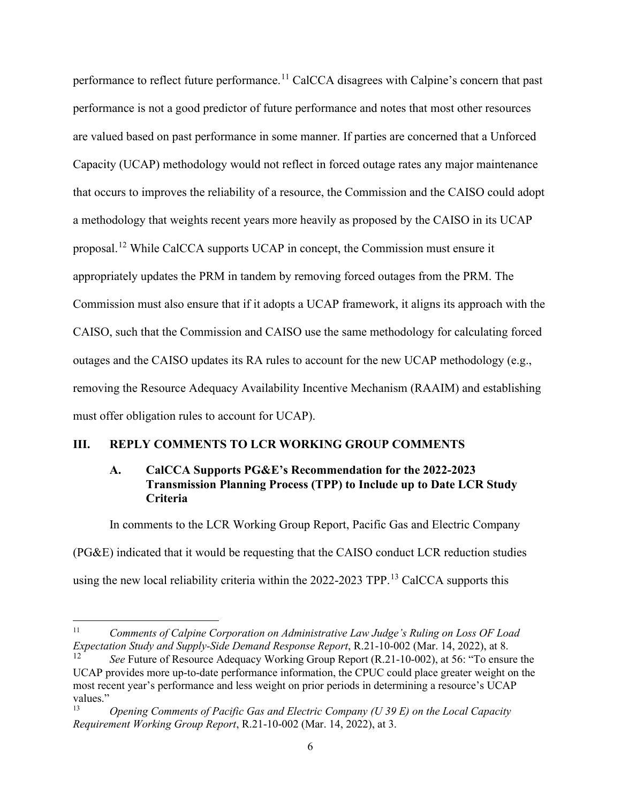performance to reflect future performance.<sup>[11](#page-8-2)</sup> CalCCA disagrees with Calpine's concern that past performance is not a good predictor of future performance and notes that most other resources are valued based on past performance in some manner. If parties are concerned that a Unforced Capacity (UCAP) methodology would not reflect in forced outage rates any major maintenance that occurs to improves the reliability of a resource, the Commission and the CAISO could adopt a methodology that weights recent years more heavily as proposed by the CAISO in its UCAP proposal.[12](#page-8-3) While CalCCA supports UCAP in concept, the Commission must ensure it appropriately updates the PRM in tandem by removing forced outages from the PRM. The Commission must also ensure that if it adopts a UCAP framework, it aligns its approach with the CAISO, such that the Commission and CAISO use the same methodology for calculating forced outages and the CAISO updates its RA rules to account for the new UCAP methodology (e.g., removing the Resource Adequacy Availability Incentive Mechanism (RAAIM) and establishing must offer obligation rules to account for UCAP).

### <span id="page-8-1"></span><span id="page-8-0"></span>**III. REPLY COMMENTS TO LCR WORKING GROUP COMMENTS**

## **A. CalCCA Supports PG&E's Recommendation for the 2022-2023 Transmission Planning Process (TPP) to Include up to Date LCR Study Criteria**

In comments to the LCR Working Group Report, Pacific Gas and Electric Company (PG&E) indicated that it would be requesting that the CAISO conduct LCR reduction studies using the new local reliability criteria within the 2022-2023 TPP.<sup>[13](#page-9-1)</sup> CalCCA supports this

<sup>11</sup> *Comments of Calpine Corporation on Administrative Law Judge's Ruling on Loss OF Load Expectation Study and Supply-Side Demand Response Report*, R.21-10-002 (Mar. 14, 2022), at 8.

<span id="page-8-3"></span><span id="page-8-2"></span>See Future of Resource Adequacy Working Group Report (R.21-10-002), at 56: "To ensure the UCAP provides more up-to-date performance information, the CPUC could place greater weight on the most recent year's performance and less weight on prior periods in determining a resource's UCAP values."

<sup>13</sup> *Opening Comments of Pacific Gas and Electric Company (U 39 E) on the Local Capacity Requirement Working Group Report*, R.21-10-002 (Mar. 14, 2022), at 3.